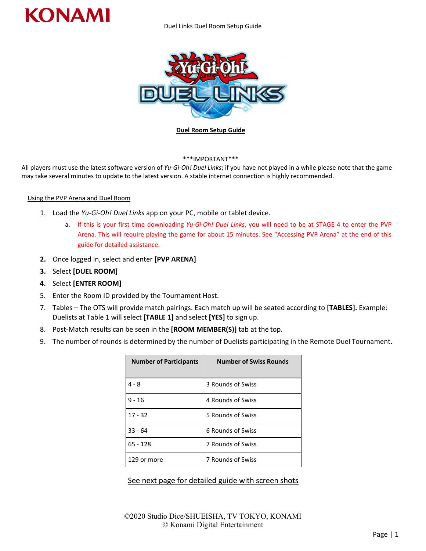

Duel Links Duel Room Setup Guide



#### **Duel Room Setup Guide**

## \*\*\*IMPORTANT\*\*\*

All players must use the latest software version of *Yu-Gi-Oh! Duel Links*; if you have not played in a while please note that the game may take several minutes to update to the latest version. A stable internet connection is highly recommended.

## Using the PVP Arena and Duel Room

- 1. Load the *Yu-Gi-Oh! Duel Links* app on your PC, mobile or tablet device.
	- a. If this is your first time downloading *Yu-Gi-Oh! Duel Links*, you will need to be at STAGE 4 to enter the PVP Arena. This will require playing the game for about 15 minutes. See "Accessing PVP Arena" at the end of this guide for detailed assistance.
- **2.** Once logged in, select and enter **[PVP ARENA]**
- **3.** Select **[DUEL ROOM]**
- **4.** Select **[ENTER ROOM]**
- 5. Enter the Room ID provided by the Tournament Host.
- 7. Tables The OTS will provide match pairings. Each match up will be seated according to **[TABLES].** Example: Duelists at Table 1 will select **[TABLE 1]** and select **[YES]** to sign up.
- 8. Post‐Match results can be seen in the **[ROOM MEMBER(S)]** tab at the top.
- 9. The number of rounds is determined by the number of Duelists participating in the Remote Duel Tournament.

| <b>Number of Participants</b> | <b>Number of Swiss Rounds</b> |
|-------------------------------|-------------------------------|
| 4 - 8                         | 3 Rounds of Swiss             |
| $9 - 16$                      | 4 Rounds of Swiss             |
| $17 - 32$                     | 5 Rounds of Swiss             |
| $33 - 64$                     | 6 Rounds of Swiss             |
| $65 - 128$                    | 7 Rounds of Swiss             |
| 129 or more                   | 7 Rounds of Swiss             |

# See next page for detailed guide with screen shots